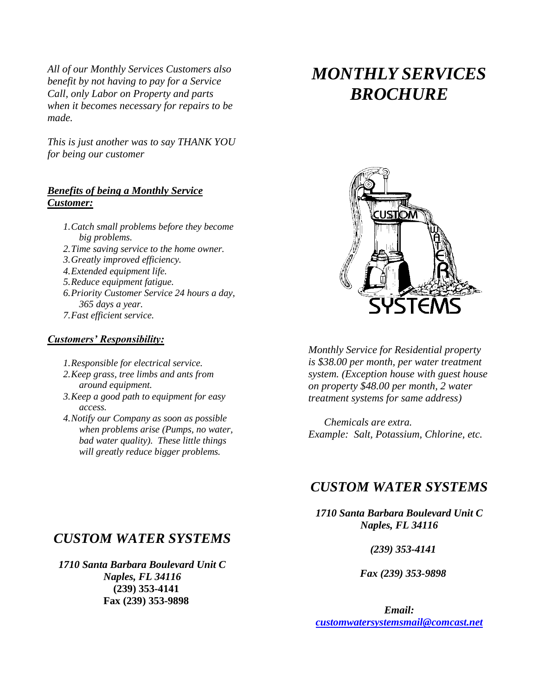*All of our Monthly Services Customers also benefit by not having to pay for a Service Call, only Labor on Property and parts when it becomes necessary for repairs to be made.* 

*This is just another was to say THANK YOU for being our customer* 

#### *Benefits of being a Monthly Service Customer:*

- *1.Catch small problems before they become big problems.*
- *2.Time saving service to the home owner.*
- *3.Greatly improved efficiency.*
- *4.Extended equipment life.*
- *5.Reduce equipment fatigue.*
- *6.Priority Customer Service 24 hours a day, 365 days a year.*
- *7.Fast efficient service.*

#### *Customers' Responsibility:*

- *1.Responsible for electrical service.*
- *2.Keep grass, tree limbs and ants from around equipment.*
- *3.Keep a good path to equipment for easy access.*
- *4.Notify our Company as soon as possible when problems arise (Pumps, no water, bad water quality). These little things will greatly reduce bigger problems.*

# *MONTHLY SERVICES BROCHURE*



*Monthly Service for Residential property is \$38.00 per month, per water treatment system. (Exception house with guest house on property \$48.00 per month, 2 water treatment systems for same address)*

 *Chemicals are extra. Example: Salt, Potassium, Chlorine, etc.*

#### *CUSTOM WATER SYSTEMS*

*1710 Santa Barbara Boulevard Unit C Naples, FL 34116*

 *(239) 353-4141*

 *Fax (239) 353-9898*

*Email: [customwatersystemsmail@comcast.net](mailto:customwatersystemsmail@comcast.net)*

#### *CUSTOM WATER SYSTEMS*

*1710 Santa Barbara Boulevard Unit C Naples, FL 34116*  **(239) 353-4141 Fax (239) 353-9898**